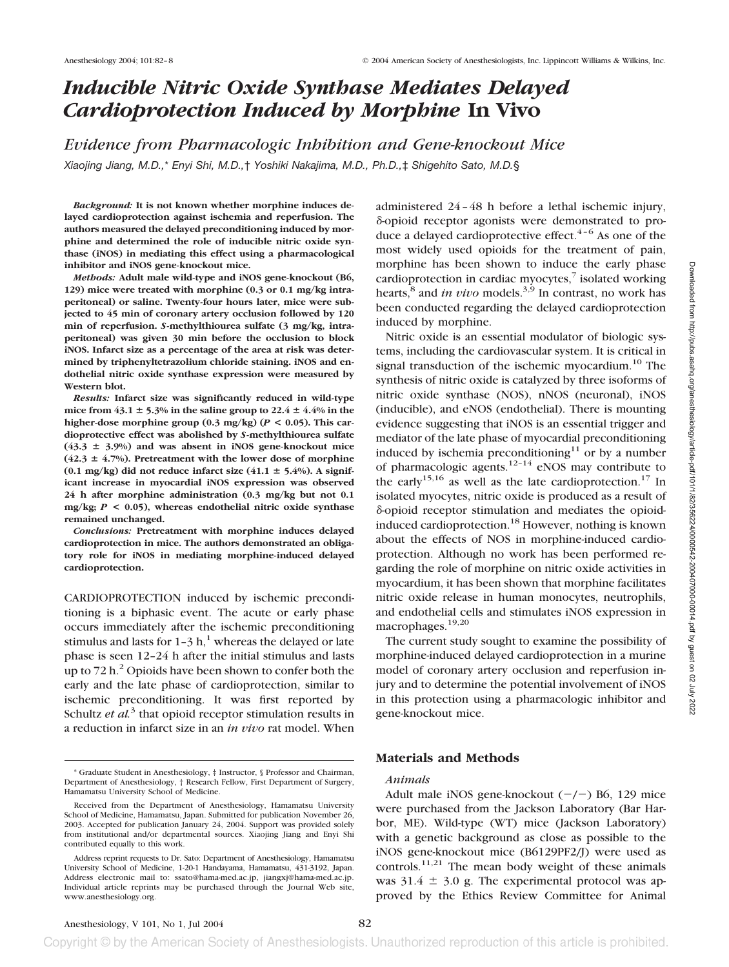# *Inducible Nitric Oxide Synthase Mediates Delayed Cardioprotection Induced by Morphine* **In Vivo**

*Evidence from Pharmacologic Inhibition and Gene-knockout Mice Xiaojing Jiang, M.D.,*\* *Enyi Shi, M.D.,*† *Yoshiki Nakajima, M.D., Ph.D.,*‡ *Shigehito Sato, M.D.*§

*Background:* **It is not known whether morphine induces delayed cardioprotection against ischemia and reperfusion. The authors measured the delayed preconditioning induced by morphine and determined the role of inducible nitric oxide synthase (iNOS) in mediating this effect using a pharmacological inhibitor and iNOS gene-knockout mice.**

*Methods:* **Adult male wild-type and iNOS gene-knockout (B6, 129) mice were treated with morphine (0.3 or 0.1 mg/kg intraperitoneal) or saline. Twenty-four hours later, mice were subjected to 45 min of coronary artery occlusion followed by 120 min of reperfusion.** *S***-methylthiourea sulfate (3 mg/kg, intraperitoneal) was given 30 min before the occlusion to block iNOS. Infarct size as a percentage of the area at risk was determined by triphenyltetrazolium chloride staining. iNOS and endothelial nitric oxide synthase expression were measured by Western blot.**

*Results:* **Infarct size was significantly reduced in wild-type** mice from  $43.1 \pm 5.3\%$  in the saline group to  $22.4 \pm 4.4\%$  in the **higher-dose morphine group (0.3 mg/kg) (***P* **< 0.05). This cardioprotective effect was abolished by** *S***-methylthiourea sulfate**  $(43.3 \pm 3.9%)$  and was absent in iNOS gene-knockout mice  $(42.3 \pm 4.7\%)$ . Pretreatment with the lower dose of morphine  $(0.1 \text{ mg/kg})$  did not reduce infarct size  $(41.1 \pm 5.4\%)$ . A signif**icant increase in myocardial iNOS expression was observed 24 h after morphine administration (0.3 mg/kg but not 0.1 mg/kg;** *P* **< 0.05), whereas endothelial nitric oxide synthase remained unchanged.**

*Conclusions:* **Pretreatment with morphine induces delayed cardioprotection in mice. The authors demonstrated an obligatory role for iNOS in mediating morphine-induced delayed cardioprotection.**

CARDIOPROTECTION induced by ischemic preconditioning is a biphasic event. The acute or early phase occurs immediately after the ischemic preconditioning stimulus and lasts for  $1-3 h$ ,<sup>1</sup> whereas the delayed or late phase is seen 12–24 h after the initial stimulus and lasts up to  $72 h<sup>2</sup>$  Opioids have been shown to confer both the early and the late phase of cardioprotection, similar to ischemic preconditioning. It was first reported by Schultz *et al.*<sup>3</sup> that opioid receptor stimulation results in a reduction in infarct size in an *in vivo* rat model. When administered 24–48 h before a lethal ischemic injury,  $\delta$ -opioid receptor agonists were demonstrated to produce a delayed cardioprotective effect. $4-6$  As one of the most widely used opioids for the treatment of pain, morphine has been shown to induce the early phase cardioprotection in cardiac myocytes, $\frac{7}{1}$  isolated working hearts,<sup>8</sup> and *in vivo* models.<sup>3,9</sup> In contrast, no work has been conducted regarding the delayed cardioprotection induced by morphine.

Nitric oxide is an essential modulator of biologic systems, including the cardiovascular system. It is critical in signal transduction of the ischemic myocardium.<sup>10</sup> The synthesis of nitric oxide is catalyzed by three isoforms of nitric oxide synthase (NOS), nNOS (neuronal), iNOS (inducible), and eNOS (endothelial). There is mounting evidence suggesting that iNOS is an essential trigger and mediator of the late phase of myocardial preconditioning induced by ischemia preconditioning $11$  or by a number of pharmacologic agents.<sup>12–14</sup> eNOS may contribute to the early<sup>15,16</sup> as well as the late cardioprotection.<sup>17</sup> In isolated myocytes, nitric oxide is produced as a result of  $\delta$ -opioid receptor stimulation and mediates the opioidinduced cardioprotection.<sup>18</sup> However, nothing is known about the effects of NOS in morphine-induced cardioprotection. Although no work has been performed regarding the role of morphine on nitric oxide activities in myocardium, it has been shown that morphine facilitates nitric oxide release in human monocytes, neutrophils, and endothelial cells and stimulates iNOS expression in macrophages.<sup>19,20</sup>

The current study sought to examine the possibility of morphine-induced delayed cardioprotection in a murine model of coronary artery occlusion and reperfusion injury and to determine the potential involvement of iNOS in this protection using a pharmacologic inhibitor and gene-knockout mice.

# **Materials and Methods**

# *Animals*

Adult male iNOS gene-knockout  $(-/-)$  B6, 129 mice were purchased from the Jackson Laboratory (Bar Harbor, ME). Wild-type (WT) mice (Jackson Laboratory) with a genetic background as close as possible to the iNOS gene-knockout mice (B6129PF2/J) were used as controls.<sup>11,21</sup> The mean body weight of these animals was  $31.4 \pm 3.0$  g. The experimental protocol was approved by the Ethics Review Committee for Animal

<sup>\*</sup> Graduate Student in Anesthesiology, ‡ Instructor, § Professor and Chairman, Department of Anesthesiology, † Research Fellow, First Department of Surgery, Hamamatsu University School of Medicine.

Received from the Department of Anesthesiology, Hamamatsu University School of Medicine, Hamamatsu, Japan. Submitted for publication November 26, 2003. Accepted for publication January 24, 2004. Support was provided solely from institutional and/or departmental sources. Xiaojing Jiang and Enyi Shi contributed equally to this work.

Address reprint requests to Dr. Sato: Department of Anesthesiology, Hamamatsu University School of Medicine, 1-20-1 Handayama, Hamamatsu, 431-3192, Japan. Address electronic mail to: ssato@hama-med.ac.jp, jiangxj@hama-med.ac.jp. Individual article reprints may be purchased through the Journal Web site, www.anesthesiology.org.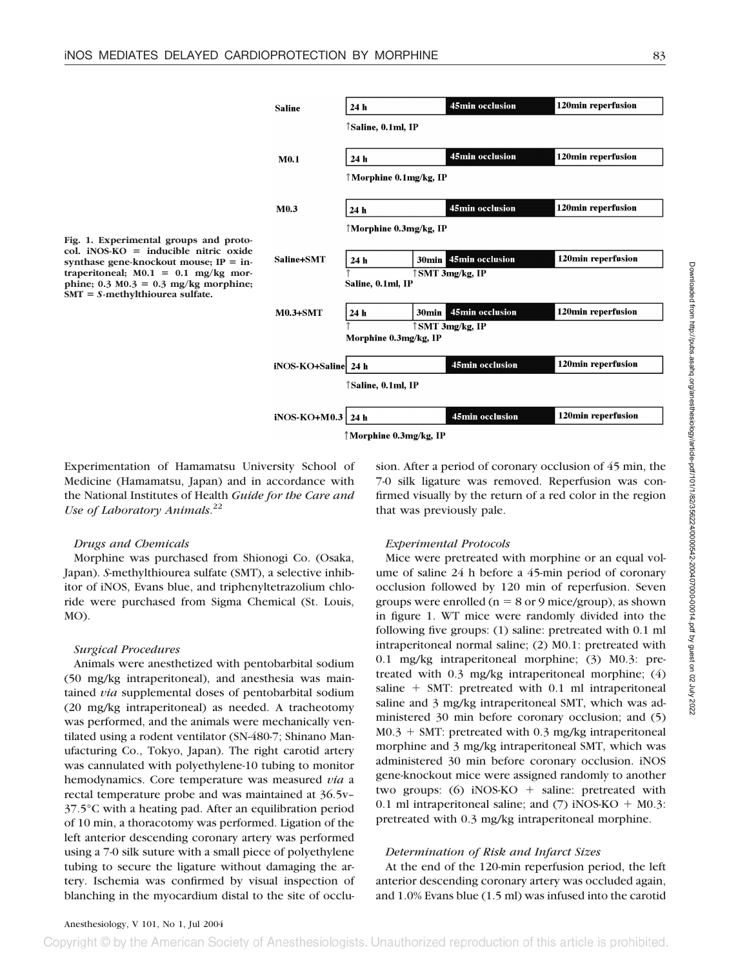

Experimentation of Hamamatsu University School of Medicine (Hamamatsu, Japan) and in accordance with the National Institutes of Health *Guide for the Care and Use of Laboratory Animals*. 22

### *Drugs and Chemicals*

Morphine was purchased from Shionogi Co. (Osaka, Japan). *S*-methylthiourea sulfate (SMT), a selective inhibitor of iNOS, Evans blue, and triphenyltetrazolium chloride were purchased from Sigma Chemical (St. Louis, MO).

#### *Surgical Procedures*

Animals were anesthetized with pentobarbital sodium (50 mg/kg intraperitoneal), and anesthesia was maintained *via* supplemental doses of pentobarbital sodium (20 mg/kg intraperitoneal) as needed. A tracheotomy was performed, and the animals were mechanically ventilated using a rodent ventilator (SN-480-7; Shinano Manufacturing Co., Tokyo, Japan). The right carotid artery was cannulated with polyethylene-10 tubing to monitor hemodynamics. Core temperature was measured *via* a rectal temperature probe and was maintained at 36.5v– 37.5°C with a heating pad. After an equilibration period of 10 min, a thoracotomy was performed. Ligation of the left anterior descending coronary artery was performed using a 7-0 silk suture with a small piece of polyethylene tubing to secure the ligature without damaging the artery. Ischemia was confirmed by visual inspection of blanching in the myocardium distal to the site of occlusion. After a period of coronary occlusion of 45 min, the 7-0 silk ligature was removed. Reperfusion was confirmed visually by the return of a red color in the region that was previously pale.

# *Experimental Protocols*

Mice were pretreated with morphine or an equal volume of saline 24 h before a 45-min period of coronary occlusion followed by 120 min of reperfusion. Seven groups were enrolled ( $n = 8$  or 9 mice/group), as shown in figure 1. WT mice were randomly divided into the following five groups: (1) saline: pretreated with 0.1 ml intraperitoneal normal saline; (2) M0.1: pretreated with 0.1 mg/kg intraperitoneal morphine; (3) M0.3: pretreated with 0.3 mg/kg intraperitoneal morphine; (4) saline  $+$  SMT: pretreated with 0.1 ml intraperitoneal saline and 3 mg/kg intraperitoneal SMT, which was administered 30 min before coronary occlusion; and (5)  $M0.3 + SMT$ : pretreated with 0.3 mg/kg intraperitoneal morphine and 3 mg/kg intraperitoneal SMT, which was administered 30 min before coronary occlusion. iNOS gene-knockout mice were assigned randomly to another two groups:  $(6)$  iNOS-KO + saline: pretreated with 0.1 ml intraperitoneal saline; and  $(7)$  iNOS-KO + M0.3: pretreated with 0.3 mg/kg intraperitoneal morphine.

# *Determination of Risk and Infarct Sizes*

At the end of the 120-min reperfusion period, the left anterior descending coronary artery was occluded again, and 1.0% Evans blue (1.5 ml) was infused into the carotid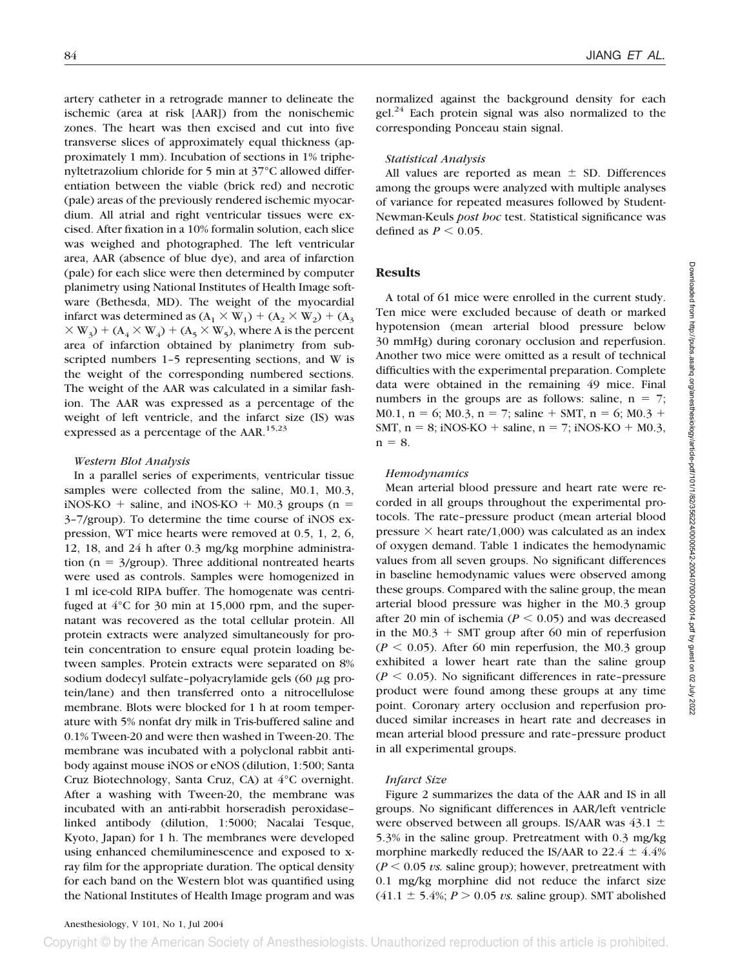artery catheter in a retrograde manner to delineate the ischemic (area at risk [AAR]) from the nonischemic zones. The heart was then excised and cut into five transverse slices of approximately equal thickness (approximately 1 mm). Incubation of sections in 1% triphenyltetrazolium chloride for 5 min at 37°C allowed differentiation between the viable (brick red) and necrotic (pale) areas of the previously rendered ischemic myocardium. All atrial and right ventricular tissues were excised. After fixation in a 10% formalin solution, each slice was weighed and photographed. The left ventricular area, AAR (absence of blue dye), and area of infarction (pale) for each slice were then determined by computer planimetry using National Institutes of Health Image software (Bethesda, MD). The weight of the myocardial infarct was determined as  $(A_1 \times W_1) + (A_2 \times W_2) + (A_3)$  $\times$  W<sub>3</sub>) + (A<sub>4</sub>  $\times$  W<sub>4</sub>) + (A<sub>5</sub>  $\times$  W<sub>5</sub>), where A is the percent area of infarction obtained by planimetry from subscripted numbers 1–5 representing sections, and W is the weight of the corresponding numbered sections. The weight of the AAR was calculated in a similar fashion. The AAR was expressed as a percentage of the weight of left ventricle, and the infarct size (IS) was expressed as a percentage of the AAR.15,23

### *Western Blot Analysis*

In a parallel series of experiments, ventricular tissue samples were collected from the saline, M0.1, M0.3,  $i$ NOS-KO + saline, and  $i$ NOS-KO + M0.3 groups (n = 3–7/group). To determine the time course of iNOS expression, WT mice hearts were removed at 0.5, 1, 2, 6, 12, 18, and 24 h after 0.3 mg/kg morphine administration ( $n = 3$ /group). Three additional nontreated hearts were used as controls. Samples were homogenized in 1 ml ice-cold RIPA buffer. The homogenate was centrifuged at 4°C for 30 min at 15,000 rpm, and the supernatant was recovered as the total cellular protein. All protein extracts were analyzed simultaneously for protein concentration to ensure equal protein loading between samples. Protein extracts were separated on 8% sodium dodecyl sulfate-polyacrylamide gels  $(60 \ \mu g)$  protein/lane) and then transferred onto a nitrocellulose membrane. Blots were blocked for 1 h at room temperature with 5% nonfat dry milk in Tris-buffered saline and 0.1% Tween-20 and were then washed in Tween-20. The membrane was incubated with a polyclonal rabbit antibody against mouse iNOS or eNOS (dilution, 1:500; Santa Cruz Biotechnology, Santa Cruz, CA) at 4°C overnight. After a washing with Tween-20, the membrane was incubated with an anti-rabbit horseradish peroxidase– linked antibody (dilution, 1:5000; Nacalai Tesque, Kyoto, Japan) for 1 h. The membranes were developed using enhanced chemiluminescence and exposed to xray film for the appropriate duration. The optical density for each band on the Western blot was quantified using the National Institutes of Health Image program and was

normalized against the background density for each gel. $^{24}$  Each protein signal was also normalized to the corresponding Ponceau stain signal.

# *Statistical Analysis*

All values are reported as mean  $\pm$  SD. Differences among the groups were analyzed with multiple analyses of variance for repeated measures followed by Student-Newman-Keuls *post hoc* test. Statistical significance was defined as  $P \leq 0.05$ .

# **Results**

A total of 61 mice were enrolled in the current study. Ten mice were excluded because of death or marked hypotension (mean arterial blood pressure below 30 mmHg) during coronary occlusion and reperfusion. Another two mice were omitted as a result of technical difficulties with the experimental preparation. Complete data were obtained in the remaining 49 mice. Final numbers in the groups are as follows: saline,  $n = 7$ ; M0.1,  $n = 6$ ; M0.3,  $n = 7$ ; saline  $+$  SMT,  $n = 6$ ; M0.3  $+$ SMT,  $n = 8$ ; iNOS-KO + saline,  $n = 7$ ; iNOS-KO + M0.3,  $n = 8$ .

# *Hemodynamics*

Mean arterial blood pressure and heart rate were recorded in all groups throughout the experimental protocols. The rate–pressure product (mean arterial blood pressure  $\times$  heart rate/1,000) was calculated as an index of oxygen demand. Table 1 indicates the hemodynamic values from all seven groups. No significant differences in baseline hemodynamic values were observed among these groups. Compared with the saline group, the mean arterial blood pressure was higher in the M0.3 group after 20 min of ischemia ( $P \le 0.05$ ) and was decreased in the M0.3  $+$  SMT group after 60 min of reperfusion  $(P < 0.05)$ . After 60 min reperfusion, the M0.3 group exhibited a lower heart rate than the saline group  $(P < 0.05)$ . No significant differences in rate-pressure product were found among these groups at any time point. Coronary artery occlusion and reperfusion produced similar increases in heart rate and decreases in mean arterial blood pressure and rate–pressure product in all experimental groups.

### *Infarct Size*

Figure 2 summarizes the data of the AAR and IS in all groups. No significant differences in AAR/left ventricle were observed between all groups. IS/AAR was  $43.1 \pm$ 5.3% in the saline group. Pretreatment with 0.3 mg/kg morphine markedly reduced the IS/AAR to  $22.4 \pm 4.4\%$  $(P \le 0.05 \text{ vs. saline group})$ ; however, pretreatment with 0.1 mg/kg morphine did not reduce the infarct size  $(41.1 \pm 5.4\%; P > 0.05 \; vs. \; saline \; group). \; SMT \; abolished$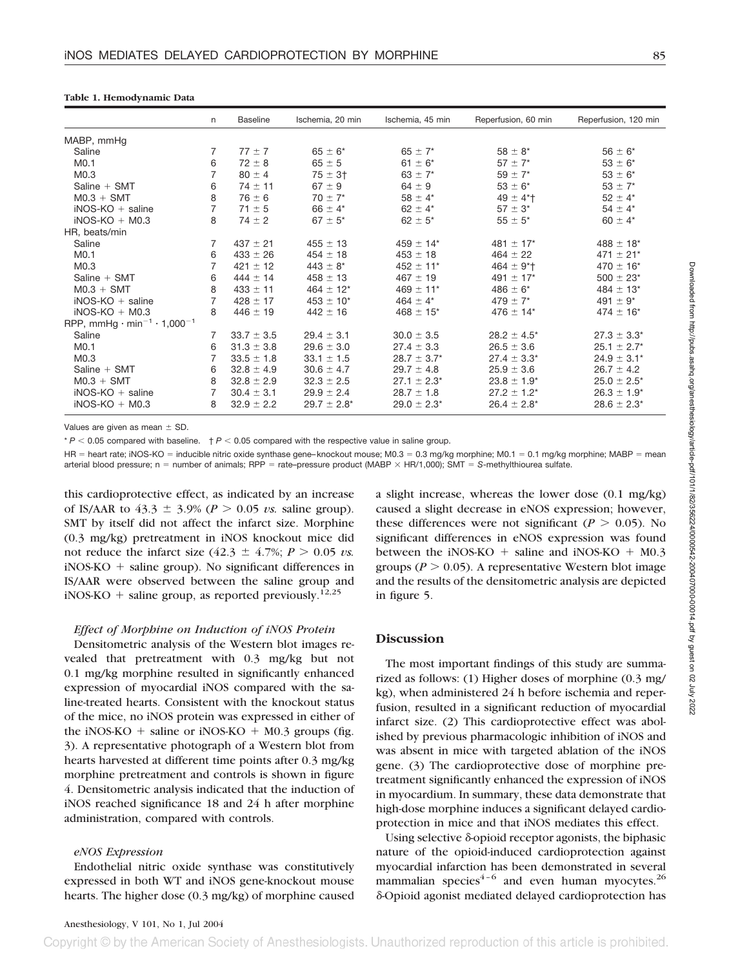#### **Table 1. Hemodynamic Data**

|                                                                 | n              | <b>Baseline</b> | Ischemia, 20 min | Ischemia, 45 min          | Reperfusion, 60 min        | Reperfusion, 120 min      |
|-----------------------------------------------------------------|----------------|-----------------|------------------|---------------------------|----------------------------|---------------------------|
| MABP, mmHg                                                      |                |                 |                  |                           |                            |                           |
| Saline                                                          | 7              | $77 + 7$        | $65 \pm 6^*$     | $65 \pm 7$ *              | $58 \pm 8^*$               | $56 \pm 6*$               |
| M <sub>0.1</sub>                                                | 6              | $72 \pm 8$      | $65 \pm 5$       | $61 \pm 6^*$              | $57 \pm 7$ *               | $53 \pm 6^*$              |
| M <sub>0.3</sub>                                                |                | $80 \pm 4$      | $75 \pm 3^{+}$   | 63 $\pm$ 7*               | $59 \pm 7$ *               | $53 \pm 6^*$              |
| Saline $+$ SMT                                                  | 6              | $74 \pm 11$     | $67 \pm 9$       | $64 \pm 9$                | $53 \pm 6^*$               | $53 \pm 7^*$              |
| $MO.3 + SMT$                                                    | 8              | $76 \pm 6$      | $70 \pm 7^*$     | $58 \pm 4*$               | $49 \pm 4$ <sup>*</sup>    | $52 \pm 4^*$              |
| $iNOS-KO + saline$                                              | 7              | $71 \pm 5$      | 66 $\pm$ 4*      | 62 $\pm$ 4*               | $57 \pm 3^*$               | $54 \pm 4^*$              |
| $i$ NOS-KO + M0.3                                               | 8              | $74 \pm 2$      | $67 \pm 5^*$     | $62 \pm 5^*$              | $55 \pm 5^*$               | 60 $\pm$ 4*               |
| HR, beats/min                                                   |                |                 |                  |                           |                            |                           |
| Saline                                                          | 7              | $437 \pm 21$    | $455 \pm 13$     | $459 \pm 14$ *            | 481 $\pm$ 17*              | $488 \pm 18$ *            |
| M <sub>0.1</sub>                                                | 6              | $433 \pm 26$    | $454 \pm 18$     | $453 \pm 18$              | $464 \pm 22$               | $471 \pm 21$ <sup>*</sup> |
| M <sub>0.3</sub>                                                |                | $421 \pm 12$    | $443 \pm 8^*$    | $452 \pm 11$ *            | $464 \pm 9$ <sup>*</sup> T | $470 \pm 16$ *            |
| Saline $+$ SMT                                                  | 6              | $444 \pm 14$    | $458 \pm 13$     | $467 \pm 19$              | 491 $\pm$ 17*              | $500 \pm 23$ *            |
| $MO.3 + SMT$                                                    | 8              | $433 \pm 11$    | $464 \pm 12$ *   | $469 \pm 11$ *            | $486 \pm 6^*$              | $484 \pm 13$ *            |
| $iNOS-KO + saline$                                              | $\overline{7}$ | $428 \pm 17$    | $453 \pm 10^{*}$ | 464 $\pm$ 4*              | $479 \pm 7$ *              | 491 $\pm$ 9*              |
| $i$ NOS-KO + M0.3                                               | 8              | $446 \pm 19$    | $442 \pm 16$     | $468 \pm 15$ <sup>*</sup> | $476 \pm 14$ *             | $474 \pm 16$ *            |
| RPP, mmHg $\cdot$ min <sup>-1</sup> $\cdot$ 1,000 <sup>-1</sup> |                |                 |                  |                           |                            |                           |
| Saline                                                          | 7              | $33.7 \pm 3.5$  | $29.4 \pm 3.1$   | $30.0 \pm 3.5$            | $28.2 \pm 4.5^*$           | $27.3 \pm 3.3^*$          |
| M <sub>0.1</sub>                                                | 6              | $31.3 \pm 3.8$  | $29.6 \pm 3.0$   | $27.4 \pm 3.3$            | $26.5 \pm 3.6$             | $25.1 \pm 2.7^*$          |
| M <sub>0.3</sub>                                                | $\overline{7}$ | $33.5 \pm 1.8$  | $33.1 \pm 1.5$   | $28.7 \pm 3.7^*$          | $27.4 \pm 3.3^*$           | $24.9 \pm 3.1*$           |
| Saline + SMT                                                    | 6              | $32.8 \pm 4.9$  | $30.6 \pm 4.7$   | $29.7 \pm 4.8$            | $25.9 \pm 3.6$             | $26.7 \pm 4.2$            |
| $MO.3 + SMT$                                                    | 8              | $32.8 \pm 2.9$  | $32.3 \pm 2.5$   | $27.1 \pm 2.3^*$          | $23.8 \pm 1.9^*$           | $25.0 \pm 2.5^*$          |
| $iNOS-KO + saline$                                              | 7              | $30.4 \pm 3.1$  | $29.9 \pm 2.4$   | $28.7 \pm 1.8$            | $27.2 \pm 1.2^*$           | $26.3 \pm 1.9^*$          |
| $i$ NOS-KO + M0.3                                               | 8              | $32.9 \pm 2.2$  | $29.7 \pm 2.8^*$ | $29.0 \pm 2.3^*$          | $26.4 \pm 2.8^*$           | $28.6 \pm 2.3^*$          |

Values are given as mean  $\pm$  SD.

 $* P < 0.05$  compared with baseline.  $+ P < 0.05$  compared with the respective value in saline group.

HR = heart rate; iNOS-KO = inducible nitric oxide synthase gene–knockout mouse; M0.3 = 0.3 mg/kg morphine; M0.1 = 0.1 mg/kg morphine; MABP = mean arterial blood pressure; n = number of animals; RPP = rate–pressure product (MABP × HR/1,000); SMT = S-methylthiourea sulfate.

this cardioprotective effect, as indicated by an increase of IS/AAR to  $43.3 \pm 3.9\%$  ( $P > 0.05$  *vs.* saline group). SMT by itself did not affect the infarct size. Morphine (0.3 mg/kg) pretreatment in iNOS knockout mice did not reduce the infarct size  $(42.3 \pm 4.7\%)$ ;  $P > 0.05$  *vs.*  $i$ NOS-KO  $+$  saline group). No significant differences in IS/AAR were observed between the saline group and iNOS-KO + saline group, as reported previously.<sup>12,25</sup>

#### *Effect of Morphine on Induction of iNOS Protein*

Densitometric analysis of the Western blot images revealed that pretreatment with 0.3 mg/kg but not 0.1 mg/kg morphine resulted in significantly enhanced expression of myocardial iNOS compared with the saline-treated hearts. Consistent with the knockout status of the mice, no iNOS protein was expressed in either of the iNOS-KO  $+$  saline or iNOS-KO  $+$  M0.3 groups (fig. 3). A representative photograph of a Western blot from hearts harvested at different time points after 0.3 mg/kg morphine pretreatment and controls is shown in figure 4. Densitometric analysis indicated that the induction of iNOS reached significance 18 and 24 h after morphine administration, compared with controls.

#### *eNOS Expression*

Endothelial nitric oxide synthase was constitutively expressed in both WT and iNOS gene-knockout mouse hearts. The higher dose (0.3 mg/kg) of morphine caused a slight increase, whereas the lower dose (0.1 mg/kg) caused a slight decrease in eNOS expression; however, these differences were not significant ( $P > 0.05$ ). No significant differences in eNOS expression was found between the iNOS-KO  $+$  saline and iNOS-KO  $+$  M0.3 groups ( $P > 0.05$ ). A representative Western blot image and the results of the densitometric analysis are depicted in figure 5.

### **Discussion**

The most important findings of this study are summarized as follows: (1) Higher doses of morphine (0.3 mg/ kg), when administered 24 h before ischemia and reperfusion, resulted in a significant reduction of myocardial infarct size. (2) This cardioprotective effect was abolished by previous pharmacologic inhibition of iNOS and was absent in mice with targeted ablation of the iNOS gene. (3) The cardioprotective dose of morphine pretreatment significantly enhanced the expression of iNOS in myocardium. In summary, these data demonstrate that high-dose morphine induces a significant delayed cardioprotection in mice and that iNOS mediates this effect.

Using selective  $\delta$ -opioid receptor agonists, the biphasic nature of the opioid-induced cardioprotection against myocardial infarction has been demonstrated in several mammalian species $4-6$  and even human myocytes.<sup>26</sup> -Opioid agonist mediated delayed cardioprotection has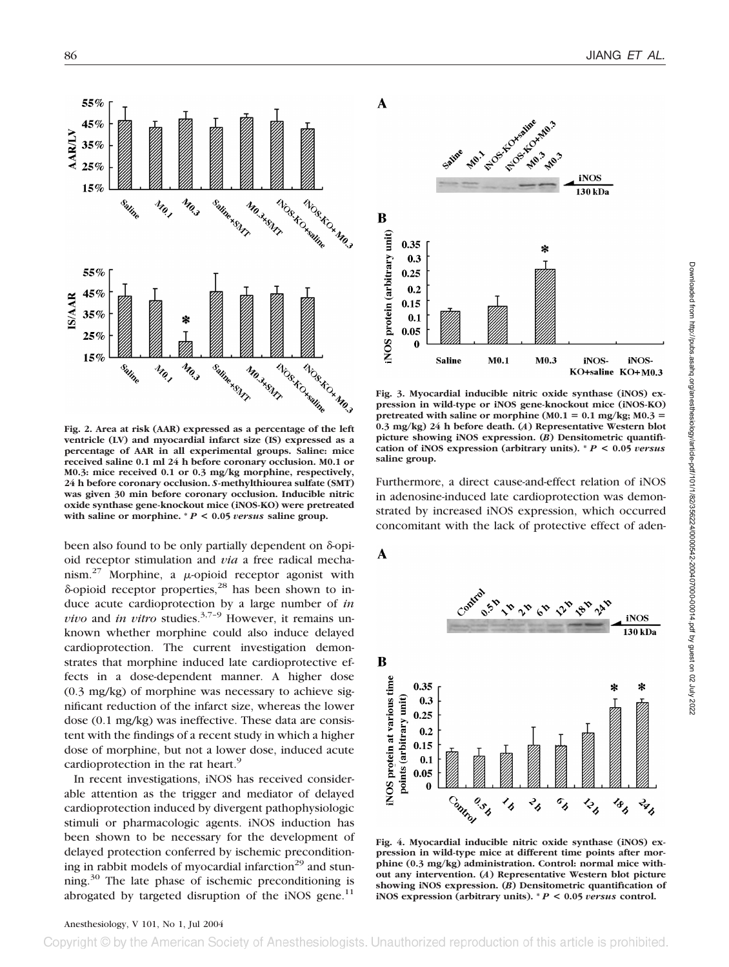

**Fig. 2. Area at risk (AAR) expressed as a percentage of the left ventricle (LV) and myocardial infarct size (IS) expressed as a percentage of AAR in all experimental groups. Saline: mice received saline 0.1 ml 24 h before coronary occlusion. M0.1 or M0.3: mice received 0.1 or 0.3 mg/kg morphine, respectively, 24 h before coronary occlusion.** *S***-methylthiourea sulfate (SMT) was given 30 min before coronary occlusion. Inducible nitric oxide synthase gene-knockout mice (iNOS-KO) were pretreated** with saline or morphine.  $* P < 0.05$  *versus* saline group.

been also found to be only partially dependent on  $\delta$ -opioid receptor stimulation and *via* a free radical mechanism.<sup>27</sup> Morphine, a  $\mu$ -opioid receptor agonist with  $\delta$ -opioid receptor properties,<sup>28</sup> has been shown to induce acute cardioprotection by a large number of *in vivo* and *in vitro* studies.<sup>3,7-9</sup> However, it remains unknown whether morphine could also induce delayed cardioprotection. The current investigation demonstrates that morphine induced late cardioprotective effects in a dose-dependent manner. A higher dose (0.3 mg/kg) of morphine was necessary to achieve significant reduction of the infarct size, whereas the lower dose (0.1 mg/kg) was ineffective. These data are consistent with the findings of a recent study in which a higher dose of morphine, but not a lower dose, induced acute cardioprotection in the rat heart.<sup>9</sup>

In recent investigations, iNOS has received considerable attention as the trigger and mediator of delayed cardioprotection induced by divergent pathophysiologic stimuli or pharmacologic agents. iNOS induction has been shown to be necessary for the development of delayed protection conferred by ischemic preconditioning in rabbit models of myocardial infarction<sup>29</sup> and stunning.<sup>30</sup> The late phase of ischemic preconditioning is abrogated by targeted disruption of the  $i$ NOS gene.<sup>11</sup>



**Fig. 3. Myocardial inducible nitric oxide synthase (iNOS) expression in wild-type or iNOS gene-knockout mice (iNOS-KO)** pretreated with saline or morphine  $(M0.1 = 0.1 \text{ mg/kg}; M0.3 =$ **0.3 mg/kg) 24 h before death. (***A***) Representative Western blot picture showing iNOS expression. (***B***) Densitometric quantification of iNOS expression (arbitrary units). \*** *P* **< 0.05** *versus* **saline group.**

Furthermore, a direct cause-and-effect relation of iNOS in adenosine-induced late cardioprotection was demonstrated by increased iNOS expression, which occurred concomitant with the lack of protective effect of aden-



**Fig. 4. Myocardial inducible nitric oxide synthase (iNOS) expression in wild-type mice at different time points after morphine (0.3 mg/kg) administration. Control: normal mice without any intervention. (***A***) Representative Western blot picture showing iNOS expression. (***B***) Densitometric quantification of iNOS expression (arbitrary units). \*** *P* **< 0.05** *versus* **control.**

# Anesthesiology, V 101, No 1, Jul 2004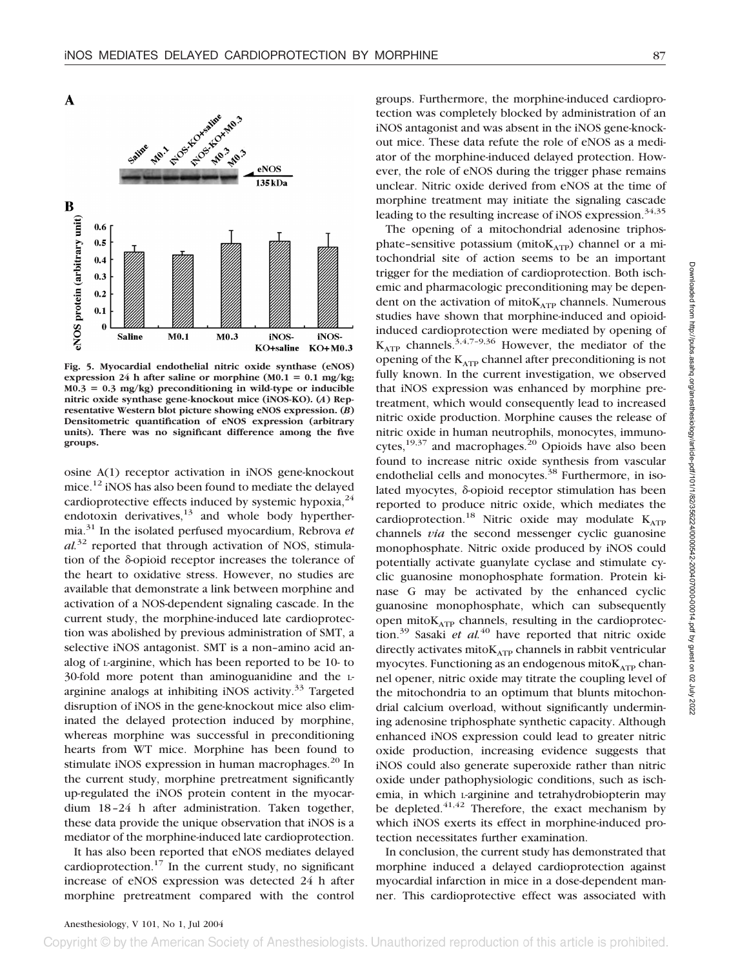



**Fig. 5. Myocardial endothelial nitric oxide synthase (eNOS)** expression 24 h after saline or morphine (M0.1 = 0.1 mg/kg; **M0.3** - **0.3 mg/kg) preconditioning in wild-type or inducible nitric oxide synthase gene-knockout mice (iNOS-KO). (***A***) Representative Western blot picture showing eNOS expression. (***B***) Densitometric quantification of eNOS expression (arbitrary units). There was no significant difference among the five groups.**

osine A(1) receptor activation in iNOS gene-knockout mice.<sup>12</sup> iNOS has also been found to mediate the delayed cardioprotective effects induced by systemic hypoxia, $^{24}$ endotoxin derivatives, $13$  and whole body hyperthermia.31 In the isolated perfused myocardium, Rebrova *et al.*<sup>32</sup> reported that through activation of NOS, stimulation of the  $\delta$ -opioid receptor increases the tolerance of the heart to oxidative stress. However, no studies are available that demonstrate a link between morphine and activation of a NOS-dependent signaling cascade. In the current study, the morphine-induced late cardioprotection was abolished by previous administration of SMT, a selective iNOS antagonist. SMT is a non–amino acid analog of L-arginine, which has been reported to be 10- to 30-fold more potent than aminoguanidine and the Larginine analogs at inhibiting iNOS activity. $33$  Targeted disruption of iNOS in the gene-knockout mice also eliminated the delayed protection induced by morphine, whereas morphine was successful in preconditioning hearts from WT mice. Morphine has been found to stimulate iNOS expression in human macrophages.<sup>20</sup> In the current study, morphine pretreatment significantly up-regulated the iNOS protein content in the myocardium 18–24 h after administration. Taken together, these data provide the unique observation that iNOS is a mediator of the morphine-induced late cardioprotection.

It has also been reported that eNOS mediates delayed cardioprotection.<sup>17</sup> In the current study, no significant increase of eNOS expression was detected 24 h after morphine pretreatment compared with the control

groups. Furthermore, the morphine-induced cardioprotection was completely blocked by administration of an iNOS antagonist and was absent in the iNOS gene-knockout mice. These data refute the role of eNOS as a mediator of the morphine-induced delayed protection. However, the role of eNOS during the trigger phase remains unclear. Nitric oxide derived from eNOS at the time of morphine treatment may initiate the signaling cascade leading to the resulting increase of iNOS expression.<sup>34,35</sup>

The opening of a mitochondrial adenosine triphosphate-sensitive potassium (mito $K_{ATP}$ ) channel or a mitochondrial site of action seems to be an important trigger for the mediation of cardioprotection. Both ischemic and pharmacologic preconditioning may be dependent on the activation of mito $K_{ATP}$  channels. Numerous studies have shown that morphine-induced and opioidinduced cardioprotection were mediated by opening of  $K_{ATP}$  channels.<sup>3,4,7-9,36</sup> However, the mediator of the opening of the  $K_{ATP}$  channel after preconditioning is not fully known. In the current investigation, we observed that iNOS expression was enhanced by morphine pretreatment, which would consequently lead to increased nitric oxide production. Morphine causes the release of nitric oxide in human neutrophils, monocytes, immunocytes,<sup>19,37</sup> and macrophages.<sup>20</sup> Opioids have also been found to increase nitric oxide synthesis from vascular endothelial cells and monocytes.<sup>38</sup> Furthermore, in isolated myocytes,  $\delta$ -opioid receptor stimulation has been reported to produce nitric oxide, which mediates the cardioprotection.<sup>18</sup> Nitric oxide may modulate  $K_{ATP}$ channels *via* the second messenger cyclic guanosine monophosphate. Nitric oxide produced by iNOS could potentially activate guanylate cyclase and stimulate cyclic guanosine monophosphate formation. Protein kinase G may be activated by the enhanced cyclic guanosine monophosphate, which can subsequently open mito $K_{ATP}$  channels, resulting in the cardioprotection.<sup>39</sup> Sasaki *et al.*<sup>40</sup> have reported that nitric oxide directly activates mito $K_{ATP}$  channels in rabbit ventricular myocytes. Functioning as an endogenous mito $K<sub>ATP</sub>$  channel opener, nitric oxide may titrate the coupling level of the mitochondria to an optimum that blunts mitochondrial calcium overload, without significantly undermining adenosine triphosphate synthetic capacity. Although enhanced iNOS expression could lead to greater nitric oxide production, increasing evidence suggests that iNOS could also generate superoxide rather than nitric oxide under pathophysiologic conditions, such as ischemia, in which L-arginine and tetrahydrobiopterin may be depleted. $41,42$  Therefore, the exact mechanism by which iNOS exerts its effect in morphine-induced protection necessitates further examination.

In conclusion, the current study has demonstrated that morphine induced a delayed cardioprotection against myocardial infarction in mice in a dose-dependent manner. This cardioprotective effect was associated with